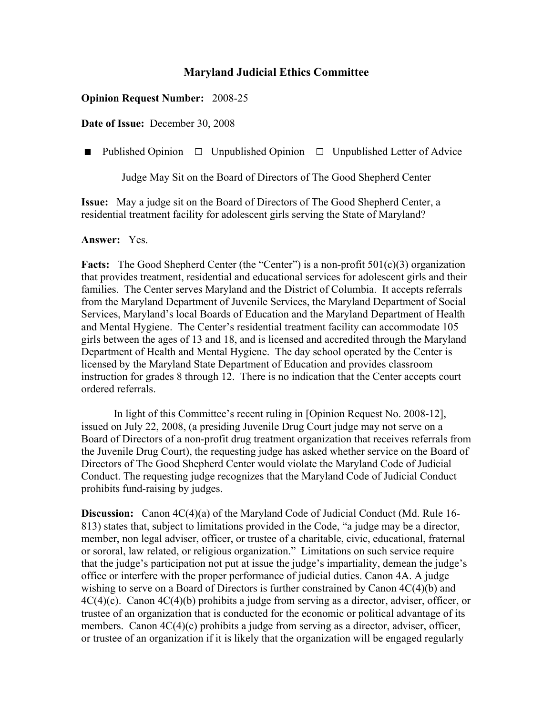## **Maryland Judicial Ethics Committee**

## **Opinion Request Number:** 2008-25

**Date of Issue:** December 30, 2008

■ Published Opinion □ Unpublished Opinion □ Unpublished Letter of Advice

Judge May Sit on the Board of Directors of The Good Shepherd Center

**Issue:** May a judge sit on the Board of Directors of The Good Shepherd Center, a residential treatment facility for adolescent girls serving the State of Maryland?

## **Answer:** Yes.

**Facts:** The Good Shepherd Center (the "Center") is a non-profit 501(c)(3) organization that provides treatment, residential and educational services for adolescent girls and their families. The Center serves Maryland and the District of Columbia. It accepts referrals from the Maryland Department of Juvenile Services, the Maryland Department of Social Services, Maryland's local Boards of Education and the Maryland Department of Health and Mental Hygiene. The Center's residential treatment facility can accommodate 105 girls between the ages of 13 and 18, and is licensed and accredited through the Maryland Department of Health and Mental Hygiene. The day school operated by the Center is licensed by the Maryland State Department of Education and provides classroom instruction for grades 8 through 12. There is no indication that the Center accepts court ordered referrals.

In light of this Committee's recent ruling in [Opinion Request No. 2008-12], issued on July 22, 2008, (a presiding Juvenile Drug Court judge may not serve on a Board of Directors of a non-profit drug treatment organization that receives referrals from the Juvenile Drug Court), the requesting judge has asked whether service on the Board of Directors of The Good Shepherd Center would violate the Maryland Code of Judicial Conduct. The requesting judge recognizes that the Maryland Code of Judicial Conduct prohibits fund-raising by judges.

**Discussion:** Canon 4C(4)(a) of the Maryland Code of Judicial Conduct (Md. Rule 16- 813) states that, subject to limitations provided in the Code, "a judge may be a director, member, non legal adviser, officer, or trustee of a charitable, civic, educational, fraternal or sororal, law related, or religious organization." Limitations on such service require that the judge's participation not put at issue the judge's impartiality, demean the judge's office or interfere with the proper performance of judicial duties. Canon 4A. A judge wishing to serve on a Board of Directors is further constrained by Canon 4C(4)(b) and  $4C(4)(c)$ . Canon  $4C(4)(b)$  prohibits a judge from serving as a director, adviser, officer, or trustee of an organization that is conducted for the economic or political advantage of its members. Canon 4C(4)(c) prohibits a judge from serving as a director, adviser, officer, or trustee of an organization if it is likely that the organization will be engaged regularly